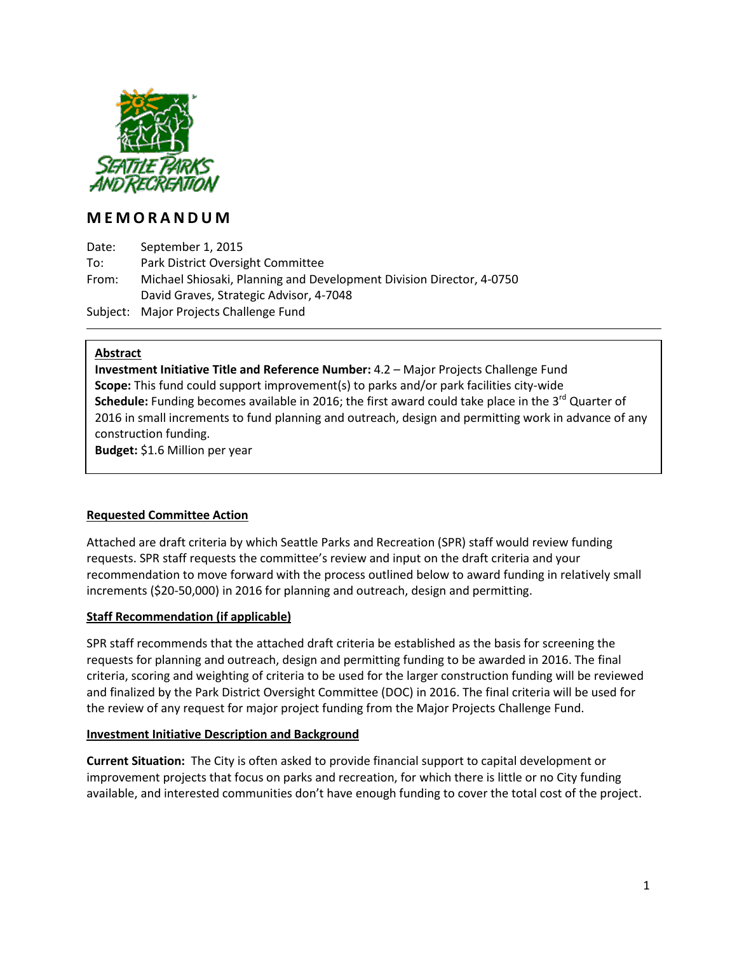

# **M E M O R A N D U M**

Date: September 1, 2015 To: Park District Oversight Committee From: Michael Shiosaki, Planning and Development Division Director, 4-0750 David Graves, Strategic Advisor, 4-7048 Subject: Major Projects Challenge Fund

## **Abstract**

**Investment Initiative Title and Reference Number:** 4.2 – Major Projects Challenge Fund **Scope:** This fund could support improvement(s) to parks and/or park facilities city-wide **Schedule:** Funding becomes available in 2016; the first award could take place in the 3<sup>rd</sup> Quarter of 2016 in small increments to fund planning and outreach, design and permitting work in advance of any construction funding. **Budget:** \$1.6 Million per year

# **Requested Committee Action**

Attached are draft criteria by which Seattle Parks and Recreation (SPR) staff would review funding requests. SPR staff requests the committee's review and input on the draft criteria and your recommendation to move forward with the process outlined below to award funding in relatively small increments (\$20-50,000) in 2016 for planning and outreach, design and permitting.

# **Staff Recommendation (if applicable)**

SPR staff recommends that the attached draft criteria be established as the basis for screening the requests for planning and outreach, design and permitting funding to be awarded in 2016. The final criteria, scoring and weighting of criteria to be used for the larger construction funding will be reviewed and finalized by the Park District Oversight Committee (DOC) in 2016. The final criteria will be used for the review of any request for major project funding from the Major Projects Challenge Fund.

#### **Investment Initiative Description and Background**

**Current Situation:** The City is often asked to provide financial support to capital development or improvement projects that focus on parks and recreation, for which there is little or no City funding available, and interested communities don't have enough funding to cover the total cost of the project.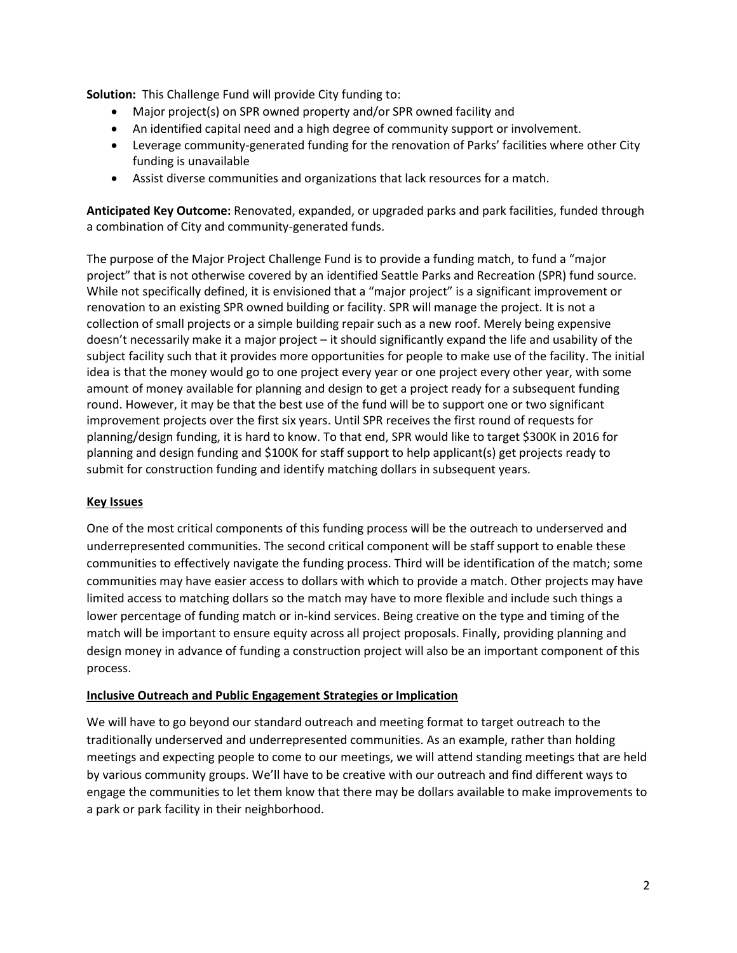**Solution:** This Challenge Fund will provide City funding to:

- Major project(s) on SPR owned property and/or SPR owned facility and
- An identified capital need and a high degree of community support or involvement.
- Leverage community-generated funding for the renovation of Parks' facilities where other City funding is unavailable
- Assist diverse communities and organizations that lack resources for a match.

**Anticipated Key Outcome:** Renovated, expanded, or upgraded parks and park facilities, funded through a combination of City and community-generated funds.

The purpose of the Major Project Challenge Fund is to provide a funding match, to fund a "major project" that is not otherwise covered by an identified Seattle Parks and Recreation (SPR) fund source. While not specifically defined, it is envisioned that a "major project" is a significant improvement or renovation to an existing SPR owned building or facility. SPR will manage the project. It is not a collection of small projects or a simple building repair such as a new roof. Merely being expensive doesn't necessarily make it a major project – it should significantly expand the life and usability of the subject facility such that it provides more opportunities for people to make use of the facility. The initial idea is that the money would go to one project every year or one project every other year, with some amount of money available for planning and design to get a project ready for a subsequent funding round. However, it may be that the best use of the fund will be to support one or two significant improvement projects over the first six years. Until SPR receives the first round of requests for planning/design funding, it is hard to know. To that end, SPR would like to target \$300K in 2016 for planning and design funding and \$100K for staff support to help applicant(s) get projects ready to submit for construction funding and identify matching dollars in subsequent years.

#### **Key Issues**

One of the most critical components of this funding process will be the outreach to underserved and underrepresented communities. The second critical component will be staff support to enable these communities to effectively navigate the funding process. Third will be identification of the match; some communities may have easier access to dollars with which to provide a match. Other projects may have limited access to matching dollars so the match may have to more flexible and include such things a lower percentage of funding match or in-kind services. Being creative on the type and timing of the match will be important to ensure equity across all project proposals. Finally, providing planning and design money in advance of funding a construction project will also be an important component of this process.

#### **Inclusive Outreach and Public Engagement Strategies or Implication**

We will have to go beyond our standard outreach and meeting format to target outreach to the traditionally underserved and underrepresented communities. As an example, rather than holding meetings and expecting people to come to our meetings, we will attend standing meetings that are held by various community groups. We'll have to be creative with our outreach and find different ways to engage the communities to let them know that there may be dollars available to make improvements to a park or park facility in their neighborhood.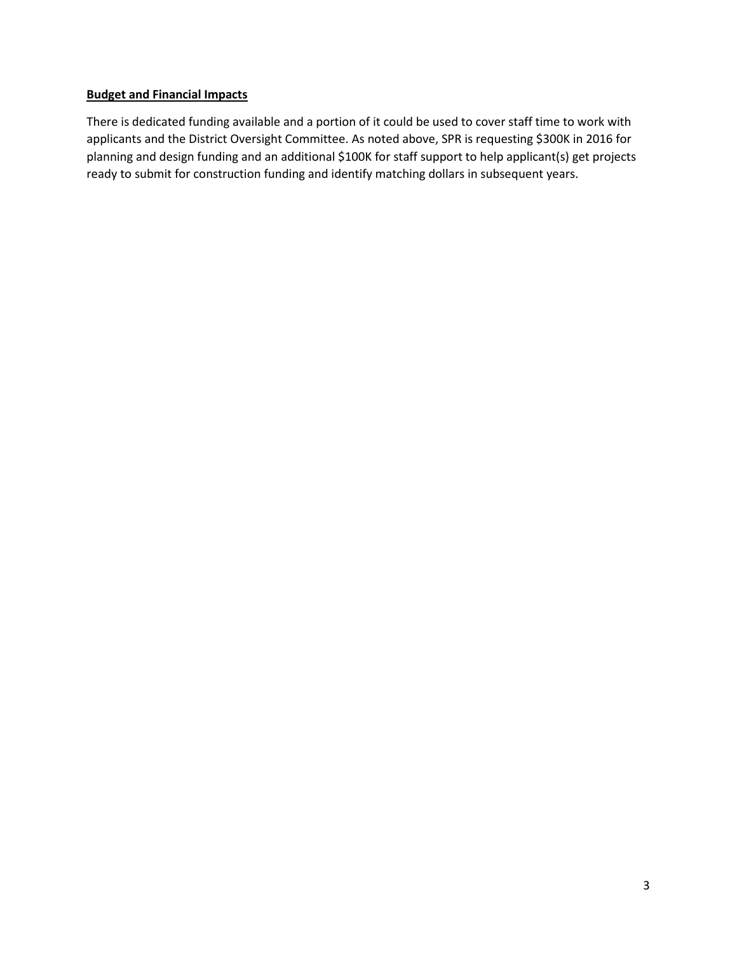### **Budget and Financial Impacts**

There is dedicated funding available and a portion of it could be used to cover staff time to work with applicants and the District Oversight Committee. As noted above, SPR is requesting \$300K in 2016 for planning and design funding and an additional \$100K for staff support to help applicant(s) get projects ready to submit for construction funding and identify matching dollars in subsequent years.